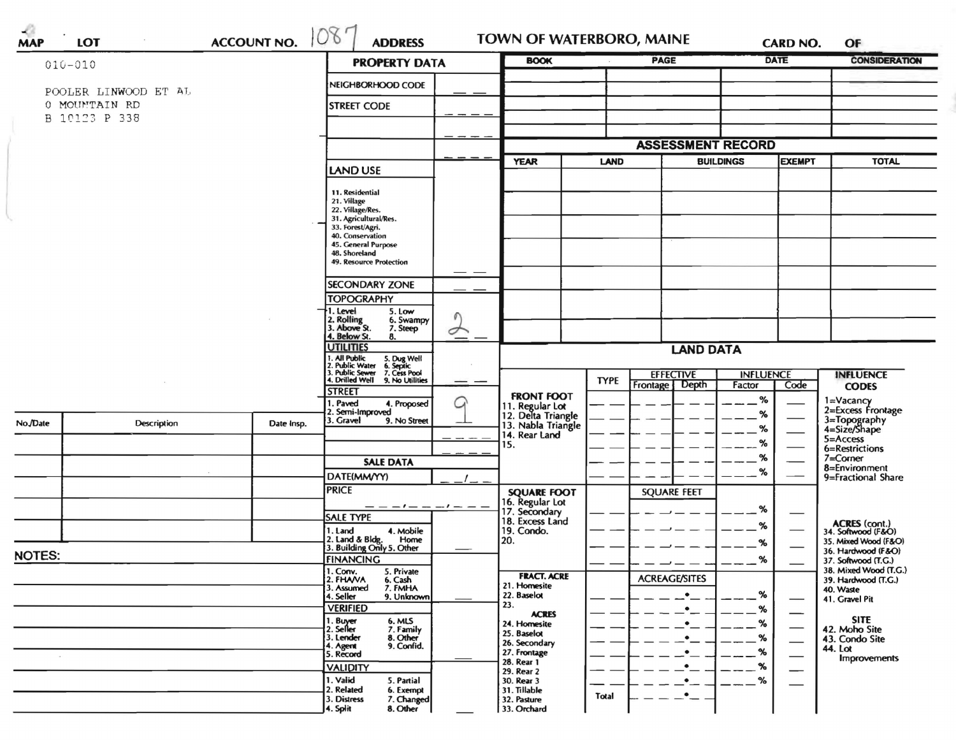|               |                                |                                    |                                                                                                                                                             | <b>PROPERTY DATA</b> |                                                     |             |                                      |                            |                                 |                                              |  |
|---------------|--------------------------------|------------------------------------|-------------------------------------------------------------------------------------------------------------------------------------------------------------|----------------------|-----------------------------------------------------|-------------|--------------------------------------|----------------------------|---------------------------------|----------------------------------------------|--|
|               | POOLER LINWOOD ET AL           | NEIGHBORHOOD CODE                  |                                                                                                                                                             |                      |                                                     |             |                                      |                            |                                 |                                              |  |
|               | 0 MOUNTAIN RD<br>B 10123 P 338 |                                    |                                                                                                                                                             |                      |                                                     |             |                                      |                            |                                 |                                              |  |
|               |                                |                                    |                                                                                                                                                             |                      |                                                     |             |                                      |                            |                                 |                                              |  |
|               |                                |                                    |                                                                                                                                                             |                      |                                                     |             | <b>ASSESSMENT RECORD</b>             |                            |                                 |                                              |  |
|               |                                |                                    | <b>LAND USE</b>                                                                                                                                             |                      | <b>YEAR</b>                                         | <b>LAND</b> |                                      | <b>BUILDINGS</b>           | <b>EXEMPT</b>                   | <b>TOTAL</b>                                 |  |
|               |                                |                                    | 11. Residential<br>21. Village<br>22. Village/Res.<br>31. Agricultural/Res.<br>33. Forest/Agri.<br>40. Conservation<br>45. General Purpose<br>48. Shoreland |                      |                                                     |             |                                      |                            |                                 |                                              |  |
|               |                                |                                    | 49. Resource Protection                                                                                                                                     |                      |                                                     |             |                                      |                            |                                 |                                              |  |
|               |                                |                                    | <b>SECONDARY ZONE</b>                                                                                                                                       |                      |                                                     |             |                                      |                            |                                 |                                              |  |
|               |                                |                                    | <b>TOPOGRAPHY</b>                                                                                                                                           |                      |                                                     |             |                                      |                            |                                 |                                              |  |
|               |                                |                                    | 1. Level<br>5. Low<br>2. Rolling<br>3. Above St.<br>6. Swampy<br>7. Steep                                                                                   | Í                    |                                                     |             |                                      |                            |                                 |                                              |  |
|               |                                |                                    | 4. Below St.<br>8.<br><b>UTILITIES</b>                                                                                                                      | <b>LAND DATA</b>     |                                                     |             |                                      |                            |                                 |                                              |  |
|               |                                |                                    | 1. All Public<br>5. Dug Well<br>6. Septic<br>7. Cess Pool<br>9. No Utilities                                                                                |                      |                                                     |             |                                      |                            |                                 |                                              |  |
|               |                                |                                    | 2. Public Water<br>3. Public Sewer<br>4. Drilled Well                                                                                                       |                      |                                                     | <b>TYPE</b> | <b>EFFECTIVE</b><br>Frontage   Depth | <b>INFLUENCE</b><br>Factor | Code                            | <b>INFLUENCE</b><br><b>CODES</b>             |  |
|               |                                |                                    | <b>STREET</b><br>. Paved<br>4. Proposed                                                                                                                     |                      | <b>FRONT FOOT</b>                                   |             |                                      | $\%$                       |                                 |                                              |  |
|               |                                |                                    | 2. Semi-Improved<br>3. Gravel<br>9. No Street                                                                                                               |                      | 11. Regular Lot<br>12. Delta Triangle               |             |                                      | %                          |                                 | 1=Vacancy<br>2=Excess Frontage               |  |
| No./Date      | Description                    | Date Insp.                         |                                                                                                                                                             |                      | 13. Nabla Triangle<br>14. Rear Land                 |             |                                      | %                          |                                 | 3=Topography<br>4=Size/Shape<br>5=Access     |  |
|               |                                |                                    |                                                                                                                                                             |                      | 15.                                                 |             |                                      | %                          |                                 | 6=Restrictions                               |  |
|               |                                |                                    | <b>SALE DATA</b>                                                                                                                                            |                      |                                                     |             |                                      | %                          |                                 | $7 =$ Corner<br>8=Environment                |  |
|               |                                |                                    | DATE(MM/YY)                                                                                                                                                 |                      |                                                     |             |                                      | %                          |                                 | 9=Fractional Share                           |  |
|               |                                |                                    | <b>PRICE</b>                                                                                                                                                |                      | <b>SQUARE FOOT</b>                                  |             | <b>SQUARE FEET</b>                   |                            |                                 |                                              |  |
|               |                                |                                    | <b>SALE TYPE</b>                                                                                                                                            |                      | 16. Regular Lot<br>17. Secondary<br>18. Excess Land |             |                                      | %                          |                                 |                                              |  |
|               |                                |                                    | 4. Mobile<br>1. Land                                                                                                                                        |                      | 19. Condo.                                          |             |                                      | %                          |                                 | ACRES (cont.)<br>34. Softwood (F&O)          |  |
|               |                                |                                    | 2. Land & Bldg. Home<br>3. Building Only 5. Other<br>Home                                                                                                   |                      | 20.                                                 |             |                                      | %                          |                                 | 35. Mixed Wood (F&O)                         |  |
| <b>NOTES:</b> |                                |                                    | <b>FINANCING</b>                                                                                                                                            |                      |                                                     |             |                                      | %                          |                                 | 36. Hardwood (F&O)<br>37. Softwood (T.G.)    |  |
|               |                                |                                    | 1. Conv.<br>5. Private<br>2. FHAVA<br>6. Cash                                                                                                               |                      | <b>FRACT. ACRE</b>                                  |             | <b>ACREAGE/SITES</b>                 |                            |                                 | 38. Mixed Wood (T.G.)<br>39. Hardwood (T.G.) |  |
|               |                                |                                    | 7. FMHA<br>3. Assumed                                                                                                                                       |                      | 21. Homesite<br>22. Baselot                         |             | $\bullet$                            | %                          |                                 | 40. Waste                                    |  |
|               |                                |                                    | 4. Seller<br>9. Unknown<br><b>VERIFIED</b>                                                                                                                  |                      | 23.                                                 |             | ٠                                    | %                          |                                 | 41. Gravel Pit                               |  |
|               |                                |                                    | 1. Buyer<br>2. Seller<br>6. MLS                                                                                                                             |                      | <b>ACRES</b><br>24. Homesite                        |             |                                      | %                          | —                               | <b>SITE</b>                                  |  |
|               |                                | 7. Family<br>8. Other<br>3. Lender |                                                                                                                                                             | 25. Baselot          |                                                     |             | %                                    |                            | 42. Moho Site<br>43. Condo Site |                                              |  |
|               |                                |                                    | 9. Confid.<br>4. Agent<br>5. Record                                                                                                                         |                      | 26. Secondary<br>27. Frontage                       |             |                                      | %                          |                                 | 44. Lot                                      |  |
|               |                                |                                    | <b>VALIDITY</b>                                                                                                                                             |                      | 28. Rear 1<br>29. Rear 2                            |             |                                      | %                          | —                               | <b>Improvements</b>                          |  |
|               |                                |                                    | 1. Valid<br>5. Partial                                                                                                                                      |                      | 30. Rear 3                                          |             | $\bullet$                            | %                          |                                 |                                              |  |
|               |                                |                                    | 2. Related<br>6. Exempt<br>3. Distress<br>7. Changed                                                                                                        |                      | 31. Tillable<br>32. Pasture                         | Total       | $\bullet$                            |                            |                                 |                                              |  |